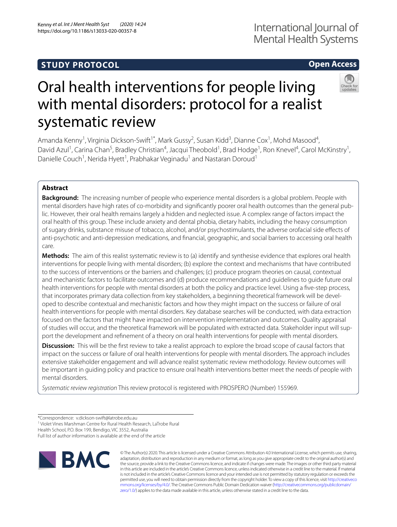# **STUDY PROTOCOL**

# **Open Access**



# Oral health interventions for people living with mental disorders: protocol for a realist systematic review

Amanda Kenny<sup>1</sup>, Virginia Dickson-Swift<sup>1\*</sup>, Mark Gussy<sup>2</sup>, Susan Kidd<sup>3</sup>, Dianne Cox<sup>1</sup>, Mohd Masood<sup>4</sup>, David Azul<sup>1</sup>, Carina Chan<sup>5</sup>, Bradley Christian<sup>4</sup>, Jacqui Theobold<sup>1</sup>, Brad Hodge<sup>1</sup>, Ron Knevel<sup>4</sup>, Carol McKinstry<sup>1</sup>, Danielle Couch<sup>1</sup>, Nerida Hyett<sup>1</sup>, Prabhakar Veginadu<sup>1</sup> and Nastaran Doroud<sup>1</sup>

# **Abstract**

**Background:** The increasing number of people who experience mental disorders is a global problem. People with mental disorders have high rates of co-morbidity and significantly poorer oral health outcomes than the general public. However, their oral health remains largely a hidden and neglected issue. A complex range of factors impact the oral health of this group. These include anxiety and dental phobia, dietary habits, including the heavy consumption of sugary drinks, substance misuse of tobacco, alcohol, and/or psychostimulants, the adverse orofacial side efects of anti-psychotic and anti-depression medications, and fnancial, geographic, and social barriers to accessing oral health care.

**Methods:** The aim of this realist systematic review is to (a) identify and synthesise evidence that explores oral health interventions for people living with mental disorders; (b) explore the context and mechanisms that have contributed to the success of interventions or the barriers and challenges; (c) produce program theories on causal, contextual and mechanistic factors to facilitate outcomes and (d) produce recommendations and guidelines to guide future oral health interventions for people with mental disorders at both the policy and practice level. Using a fve-step process, that incorporates primary data collection from key stakeholders, a beginning theoretical framework will be developed to describe contextual and mechanistic factors and how they might impact on the success or failure of oral health interventions for people with mental disorders. Key database searches will be conducted, with data extraction focused on the factors that might have impacted on intervention implementation and outcomes. Quality appraisal of studies will occur, and the theoretical framework will be populated with extracted data. Stakeholder input will support the development and refnement of a theory on oral health interventions for people with mental disorders.

**Discussion:** This will be the first review to take a realist approach to explore the broad scope of causal factors that impact on the success or failure of oral health interventions for people with mental disorders. The approach includes extensive stakeholder engagement and will advance realist systematic review methodology. Review outcomes will be important in guiding policy and practice to ensure oral health interventions better meet the needs of people with mental disorders.

*Systematic review registration* This review protocol is registered with PROSPERO (Number) 155969.

<sup>1</sup> Violet Vines Marshman Centre for Rural Health Research, LaTrobe Rural

Health School, P.O. Box 199, Bendigo, VIC 3552, Australia

Full list of author information is available at the end of the article



© The Author(s) 2020. This article is licensed under a Creative Commons Attribution 4.0 International License, which permits use, sharing, adaptation, distribution and reproduction in any medium or format, as long as you give appropriate credit to the original author(s) and the source, provide a link to the Creative Commons licence, and indicate if changes were made. The images or other third party material in this article are included in the article's Creative Commons licence, unless indicated otherwise in a credit line to the material. If material is not included in the article's Creative Commons licence and your intended use is not permitted by statutory regulation or exceeds the permitted use, you will need to obtain permission directly from the copyright holder. To view a copy of this licence, visit [http://creativeco](http://creativecommons.org/licenses/by/4.0/) [mmons.org/licenses/by/4.0/.](http://creativecommons.org/licenses/by/4.0/) The Creative Commons Public Domain Dedication waiver ([http://creativecommons.org/publicdomain/](http://creativecommons.org/publicdomain/zero/1.0/) [zero/1.0/\)](http://creativecommons.org/publicdomain/zero/1.0/) applies to the data made available in this article, unless otherwise stated in a credit line to the data.

<sup>\*</sup>Correspondence: v.dickson‑swift@latrobe.edu.au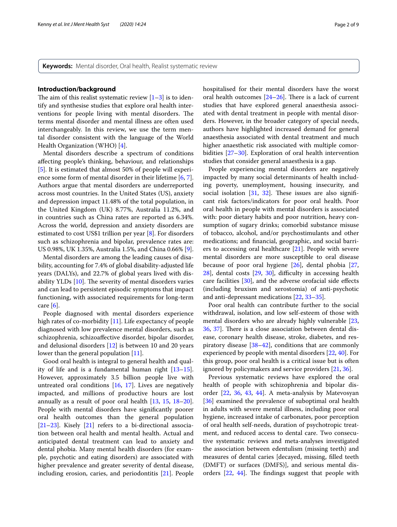**Keywords:** Mental disorder, Oral health, Realist systematic review

## **Introduction/background**

The aim of this realist systematic review  $[1-3]$  $[1-3]$  is to identify and synthesise studies that explore oral health interventions for people living with mental disorders. The terms mental disorder and mental illness are often used interchangeably. In this review, we use the term mental disorder consistent with the language of the World Health Organization (WHO) [[4\]](#page-6-2).

Mental disorders describe a spectrum of conditions afecting people's thinking, behaviour, and relationships [[5\]](#page-7-0). It is estimated that almost 50% of people will experience some form of mental disorder in their lifetime [[6,](#page-7-1) [7](#page-7-2)]. Authors argue that mental disorders are underreported across most countries. In the United States (US), anxiety and depression impact 11.48% of the total population, in the United Kingdom (UK) 8.77%, Australia 11.2%, and in countries such as China rates are reported as 6.34%. Across the world, depression and anxiety disorders are estimated to cost US\$1 trillion per year [\[8](#page-7-3)]. For disorders such as schizophrenia and bipolar, prevalence rates are: US 0.98%, UK 1.35%, Australia 1.5%, and China 0.66% [\[9](#page-7-4)].

Mental disorders are among the leading causes of disability, accounting for 7.4% of global disability-adjusted life years (DALYs), and 22.7% of global years lived with disability YLDs  $[10]$  $[10]$ . The severity of mental disorders varies and can lead to persistent episodic symptoms that impact functioning, with associated requirements for long-term care [\[6](#page-7-1)].

People diagnosed with mental disorders experience high rates of co-morbidity [[11\]](#page-7-6). Life expectancy of people diagnosed with low prevalence mental disorders, such as schizophrenia, schizoafective disorder, bipolar disorder, and delusional disorders [\[12](#page-7-7)] is between 10 and 20 years lower than the general population [\[11](#page-7-6)].

Good oral health is integral to general health and quality of life and is a fundamental human right [[13](#page-7-8)[–15](#page-7-9)]. However, approximately 3.5 billion people live with untreated oral conditions  $[16, 17]$  $[16, 17]$  $[16, 17]$ . Lives are negatively impacted, and millions of productive hours are lost annually as a result of poor oral health [\[13](#page-7-8), [15,](#page-7-9) [18](#page-7-12)[–20](#page-7-13)]. People with mental disorders have signifcantly poorer oral health outcomes than the general population [[21–](#page-7-14)[23](#page-7-15)]. Kisely [[21](#page-7-14)] refers to a bi-directional association between oral health and mental health. Actual and anticipated dental treatment can lead to anxiety and dental phobia. Many mental health disorders (for example, psychotic and eating disorders) are associated with higher prevalence and greater severity of dental disease, including erosion, caries, and periodontitis [\[21](#page-7-14)]. People hospitalised for their mental disorders have the worst oral health outcomes  $[24–26]$  $[24–26]$  $[24–26]$  $[24–26]$ . There is a lack of current studies that have explored general anaesthesia associated with dental treatment in people with mental disorders. However, in the broader category of special needs, authors have highlighted increased demand for general anaesthesia associated with dental treatment and much higher anaesthetic risk associated with multiple comorbidities [\[27](#page-7-18)[–30](#page-7-19)]. Exploration of oral health intervention studies that consider general anaesthesia is a gap.

People experiencing mental disorders are negatively impacted by many social determinants of health including poverty, unemployment, housing insecurity, and social isolation  $[31, 32]$  $[31, 32]$  $[31, 32]$  $[31, 32]$ . These issues are also significant risk factors/indicators for poor oral health. Poor oral health in people with mental disorders is associated with: poor dietary habits and poor nutrition, heavy consumption of sugary drinks; comorbid substance misuse of tobacco, alcohol, and/or psychostimulants and other medications; and fnancial, geographic, and social barriers to accessing oral healthcare [[21\]](#page-7-14). People with severe mental disorders are more susceptible to oral disease because of poor oral hygiene [[26\]](#page-7-17), dental phobia [[27](#page-7-18),  $28$ ], dental costs  $[29, 30]$  $[29, 30]$  $[29, 30]$  $[29, 30]$  $[29, 30]$ , difficulty in accessing health care facilities [[30\]](#page-7-19), and the adverse orofacial side efects (including bruxism and xerostomia) of anti-psychotic and anti-depressant medications [\[22](#page-7-24), [33](#page-7-25)[–35](#page-7-26)].

Poor oral health can contribute further to the social withdrawal, isolation, and low self-esteem of those with mental disorders who are already highly vulnerable [[23](#page-7-15), [36,](#page-7-27) [37](#page-7-28)]. There is a close association between dental disease, coronary health disease, stroke, diabetes, and respiratory disease [\[38](#page-7-29)[–42\]](#page-7-30), conditions that are commonly experienced by people with mental disorders [[22,](#page-7-24) [40](#page-7-31)]. For this group, poor oral health is a critical issue but is often ignored by policymakers and service providers [[21,](#page-7-14) [36](#page-7-27)].

Previous systematic reviews have explored the oral health of people with schizophrenia and bipolar disorder [[22](#page-7-24), [36,](#page-7-27) [43](#page-7-32), [44\]](#page-7-33). A meta-analysis by Matevosyan [[36\]](#page-7-27) examined the prevalence of suboptimal oral health in adults with severe mental illness, including poor oral hygiene, increased intake of carbonates, poor perception of oral health self-needs, duration of psychotropic treatment, and reduced access to dental care. Two consecutive systematic reviews and meta-analyses investigated the association between edentulism (missing teeth) and measures of dental caries [decayed, missing, flled teeth (DMFT) or surfaces (DMFS)], and serious mental disorders  $[22, 44]$  $[22, 44]$  $[22, 44]$  $[22, 44]$  $[22, 44]$ . The findings suggest that people with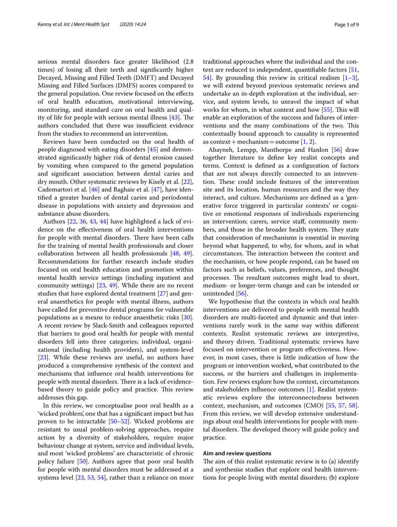serious mental disorders face greater likelihood (2.8 times) of losing all their teeth and signifcantly higher Decayed, Missing and Filled Teeth (DMFT) and Decayed Missing and Filled Surfaces (DMFS) scores compared to the general population. One review focused on the efects of oral health education, motivational interviewing, monitoring, and standard care on oral health and quality of life for people with serious mental illness  $[43]$ . The authors concluded that there was insufficient evidence from the studies to recommend an intervention.

Reviews have been conducted on the oral health of people diagnosed with eating disorders [\[45](#page-7-34)] and demonstrated signifcantly higher risk of dental erosion caused by vomiting when compared to the general population and signifcant association between dental caries and dry mouth. Other systematic reviews by Kisely et al. [\[22](#page-7-24)], Cademartori et al. [[46\]](#page-7-35) and Baghaie et al. [\[47\]](#page-7-36), have identifed a greater burden of dental caries and periodontal disease in populations with anxiety and depression and substance abuse disorders.

Authors [\[22](#page-7-24), [36](#page-7-27), [43](#page-7-32), [44](#page-7-33)] have highlighted a lack of evidence on the efectiveness of oral health interventions for people with mental disorders. There have been calls for the training of mental health professionals and closer collaboration between all health professionals [[48,](#page-7-37) [49](#page-7-38)]. Recommendations for further research include studies focused on oral health education and promotion within mental health service settings (including inpatient and community settings) [\[23](#page-7-15), [49](#page-7-38)]. While there are no recent studies that have explored dental treatment [\[27](#page-7-18)] and general anaesthetics for people with mental illness, authors have called for preventive dental programs for vulnerable populations as a means to reduce anaesthetic risks [\[30](#page-7-19)]. A recent review by Slack-Smith and colleagues reported that barriers to good oral health for people with mental disorders fell into three categories; individual, organizational (including health providers), and system-level [[23\]](#page-7-15). While these reviews are useful, no authors have produced a comprehensive synthesis of the context and mechanisms that infuence oral health interventions for people with mental disorders. There is a lack of evidencebased theory to guide policy and practice. This review addresses this gap.

In this review, we conceptualise poor oral health as a 'wicked problem', one that has a signifcant impact but has proven to be intractable [[50–](#page-7-39)[52](#page-7-40)]. Wicked problems are resistant to usual problem-solving approaches, require action by a diversity of stakeholders, require major behaviour change at system, service and individual levels, and most 'wicked problems' are characteristic of chronic policy failure [[50\]](#page-7-39). Authors agree that poor oral health for people with mental disorders must be addressed at a systems level [\[23](#page-7-15), [53,](#page-8-0) [54\]](#page-8-1), rather than a reliance on more traditional approaches where the individual and the context are reduced to independent, quantifable factors [[51](#page-7-41), [54\]](#page-8-1). By grounding this review in critical realism  $[1-3]$  $[1-3]$ , we will extend beyond previous systematic reviews and undertake an in-depth exploration at the individual, service, and system levels, to unravel the impact of what works for whom, in what context and how [[55](#page-8-2)]. This will enable an exploration of the success and failures of interventions and the many combinations of the two. This contextually bound approach to causality is represented as context + mechanism = outcome  $[1, 2]$  $[1, 2]$  $[1, 2]$ .

Abayneh, Lempp, Manthorpe and Hanlon [[56](#page-8-3)] draw together literature to defne key realist concepts and terms. Context is defned as a confguration of factors that are not always directly connected to an intervention. These could include features of the intervention site and its location, human resources and the way they interact, and culture. Mechanisms are defned as a 'generative force triggered in particular contexts' or cognitive or emotional responses of individuals experiencing an intervention; carers, service staf, community members, and those in the broader health system. They state that consideration of mechanisms is essential in moving beyond what happened, to why, for whom, and in what circumstances. The interaction between the context and the mechanism, or how people respond, can be based on factors such as beliefs, values, preferences, and thought processes. The resultant outcomes might lead to short, medium- or longer-term change and can be intended or unintended [\[56](#page-8-3)].

We hypothesise that the contexts in which oral health interventions are delivered to people with mental health disorders are multi-faceted and dynamic and that interventions rarely work in the same way within diferent contexts. Realist systematic reviews are interpretive, and theory driven. Traditional systematic reviews have focused on intervention or program efectiveness. However, in most cases, there is little indication of how the program or intervention worked, what contributed to the success, or the barriers and challenges in implementation. Few reviews explore how the context, circumstances and stakeholders infuence outcomes [\[1](#page-6-0)]. Realist systematic reviews explore the interconnectedness between context, mechanism, and outcomes (CMO) [\[55](#page-8-2), [57,](#page-8-4) [58](#page-8-5)]. From this review, we will develop extensive understandings about oral health interventions for people with mental disorders. The developed theory will guide policy and practice.

# **Aim and review questions**

The aim of this realist systematic review is to  $(a)$  identify and synthesise studies that explore oral health interventions for people living with mental disorders; (b) explore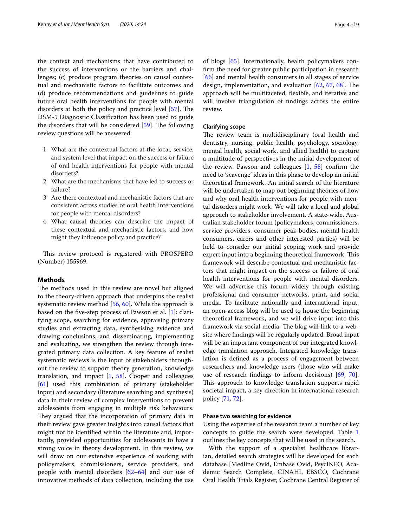the context and mechanisms that have contributed to the success of interventions or the barriers and challenges; (c) produce program theories on causal contextual and mechanistic factors to facilitate outcomes and (d) produce recommendations and guidelines to guide future oral health interventions for people with mental disorders at both the policy and practice level  $[57]$  $[57]$ . The DSM-5 Diagnostic Classifcation has been used to guide the disorders that will be considered  $[59]$  $[59]$ . The following review questions will be answered:

- 1 What are the contextual factors at the local, service, and system level that impact on the success or failure of oral health interventions for people with mental disorders?
- 2 What are the mechanisms that have led to success or failure?
- 3 Are there contextual and mechanistic factors that are consistent across studies of oral health interventions for people with mental disorders?
- 4 What causal theories can describe the impact of these contextual and mechanistic factors, and how might they infuence policy and practice?

This review protocol is registered with PROSPERO (Number) 155969.

# **Methods**

The methods used in this review are novel but aligned to the theory-driven approach that underpins the realist systematic review method [[56,](#page-8-3) [60](#page-8-7)]. While the approach is based on the fve-step process of Pawson et al. [[1\]](#page-6-0): clarifying scope, searching for evidence, appraising primary studies and extracting data, synthesising evidence and drawing conclusions, and disseminating, implementing and evaluating, we strengthen the review through integrated primary data collection. A key feature of realist systematic reviews is the input of stakeholders throughout the review to support theory generation, knowledge translation, and impact [[1,](#page-6-0) [58](#page-8-5)]. Cooper and colleagues [[61\]](#page-8-8) used this combination of primary (stakeholder input) and secondary (literature searching and synthesis) data in their review of complex interventions to prevent adolescents from engaging in multiple risk behaviours. They argued that the incorporation of primary data in their review gave greater insights into causal factors that might not be identifed within the literature and, importantly, provided opportunities for adolescents to have a strong voice in theory development. In this review, we will draw on our extensive experience of working with policymakers, commissioners, service providers, and people with mental disorders  $[62-64]$  $[62-64]$  $[62-64]$  and our use of innovative methods of data collection, including the use of blogs [[65\]](#page-8-11). Internationally, health policymakers confrm the need for greater public participation in research [[66\]](#page-8-12) and mental health consumers in all stages of service design, implementation, and evaluation  $[62, 67, 68]$  $[62, 67, 68]$  $[62, 67, 68]$  $[62, 67, 68]$  $[62, 67, 68]$ . The approach will be multifaceted, fexible, and iterative and will involve triangulation of fndings across the entire review.

# **Clarifying scope**

The review team is multidisciplinary (oral health and dentistry, nursing, public health, psychology, sociology, mental health, social work, and allied health) to capture a multitude of perspectives in the initial development of the review. Pawson and colleagues  $[1, 58]$  $[1, 58]$  $[1, 58]$  $[1, 58]$  confirm the need to 'scavenge' ideas in this phase to develop an initial theoretical framework. An initial search of the literature will be undertaken to map out beginning theories of how and why oral health interventions for people with mental disorders might work. We will take a local and global approach to stakeholder involvement. A state-wide, Australian stakeholder forum (policymakers, commissioners, service providers, consumer peak bodies, mental health consumers, carers and other interested parties) will be held to consider our initial scoping work and provide expert input into a beginning theoretical framework. This framework will describe contextual and mechanistic factors that might impact on the success or failure of oral health interventions for people with mental disorders. We will advertise this forum widely through existing professional and consumer networks, print, and social media. To facilitate nationally and international input, an open-access blog will be used to house the beginning theoretical framework, and we will drive input into this framework via social media. The blog will link to a website where fndings will be regularly updated. Broad input will be an important component of our integrated knowledge translation approach. Integrated knowledge translation is defned as a process of engagement between researchers and knowledge users (those who will make use of research fndings to inform decisions) [[69,](#page-8-15) [70](#page-8-16)]. This approach to knowledge translation supports rapid societal impact, a key direction in international research policy [\[71,](#page-8-17) [72](#page-8-18)].

# **Phase two searching for evidence**

Using the expertise of the research team a number of key concepts to guide the search were developed. Table [1](#page-4-0) outlines the key concepts that will be used in the search.

With the support of a specialist healthcare librarian, detailed search strategies will be developed for each database [Medline Ovid, Embase Ovid, PsycINFO, Academic Search Complete, CINAHL EBSCO, Cochrane Oral Health Trials Register, Cochrane Central Register of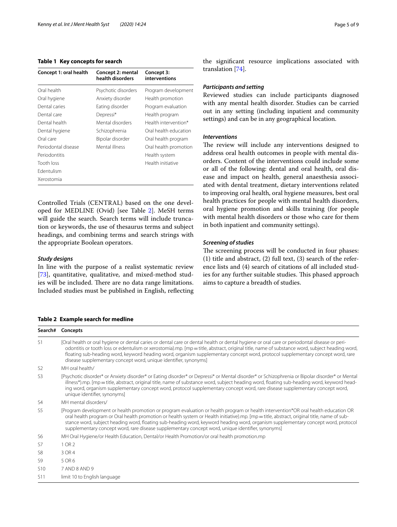# <span id="page-4-0"></span>**Table 1 Key concepts for search**

| Concept 1: oral health | Concept 2: mental<br>health disorders | Concept 3:<br>interventions |
|------------------------|---------------------------------------|-----------------------------|
| Oral health            | Psychotic disorders                   | Program development         |
| Oral hygiene           | Anxiety disorder                      | Health promotion            |
| Dental caries          | Eating disorder                       | Program evaluation          |
| Dental care            | Depressi*                             | Health program              |
| Dental health          | Mental disorders                      | Health intervention*        |
| Dental hygiene         | Schizophrenia                         | Oral health education       |
| Oral care              | Bipolar disorder                      | Oral health program         |
| Periodontal disease    | Mental illness                        | Oral health promotion       |
| Periodontitis          |                                       | Health system               |
| Tooth loss             |                                       | Health initiative           |
| <b>Edentulism</b>      |                                       |                             |
| Xerostomia             |                                       |                             |

Controlled Trials (CENTRAL) based on the one developed for MEDLINE (Ovid) [see Table [2](#page-4-1)]. MeSH terms will guide the search. Search terms will include truncation or keywords, the use of thesaurus terms and subject headings, and combining terms and search strings with the appropriate Boolean operators.

# *Study designs*

**Sear** 

S7

S9 S10

In line with the purpose of a realist systematic review [[73\]](#page-8-19), quantitative, qualitative, and mixed-method studies will be included. There are no data range limitations. Included studies must be published in English, refecting

# <span id="page-4-1"></span>**Table 2 Example search for medline**

S11 limit 10 to English language

| Table 2 Example search for incumie |                                                                                                                                                                                                                                                                                                                                                                                                                                                                                                                              |  |  |
|------------------------------------|------------------------------------------------------------------------------------------------------------------------------------------------------------------------------------------------------------------------------------------------------------------------------------------------------------------------------------------------------------------------------------------------------------------------------------------------------------------------------------------------------------------------------|--|--|
|                                    | Search# Concepts                                                                                                                                                                                                                                                                                                                                                                                                                                                                                                             |  |  |
| S1                                 | [Oral health or oral hygiene or dental caries or dental care or dental health or dental hygiene or oral care or periodontal disease or peri-<br>odontitis or tooth loss or edentulism or xerostomia).mp. [mp = title, abstract, original title, name of substance word, subject heading word,<br>floating sub-heading word, keyword heading word, organism supplementary concept word, protocol supplementary concept word, rare<br>disease supplementary concept word, unique identifier, synonyms]                         |  |  |
| S2                                 | MH oral health/                                                                                                                                                                                                                                                                                                                                                                                                                                                                                                              |  |  |
| S3                                 | [Psychotic disorder* or Anxiety disorder* or Eating disorder* or Depressi* or Mental disorder* or Schizophrenia or Bipolar disorder* or Mental<br>illness*).mp. [mp = title, abstract, original title, name of substance word, subject heading word, floating sub-heading word, keyword head-<br>ing word, organism supplementary concept word, protocol supplementary concept word, rare disease supplementary concept word,<br>unique identifier, synonyms]                                                                |  |  |
| S4                                 | MH mental disorders/                                                                                                                                                                                                                                                                                                                                                                                                                                                                                                         |  |  |
| S5                                 | [Program development or health promotion or program evaluation or health program or health intervention*OR oral health education OR<br>oral health program or Oral health promotion or health system or Health initiative).mp. [mp = title, abstract, original title, name of sub-<br>stance word, subject heading word, floating sub-heading word, keyword heading word, organism supplementary concept word, protocol<br>supplementary concept word, rare disease supplementary concept word, unique identifier, synonyms] |  |  |
| S6                                 | MH Oral Hygiene/or Health Education, Dental/or Health Promotion/or oral health promotion.mp                                                                                                                                                                                                                                                                                                                                                                                                                                  |  |  |
| S7                                 | 1 OR 2                                                                                                                                                                                                                                                                                                                                                                                                                                                                                                                       |  |  |
| S8                                 | 3 OR 4                                                                                                                                                                                                                                                                                                                                                                                                                                                                                                                       |  |  |
| S9                                 | 5 OR 6                                                                                                                                                                                                                                                                                                                                                                                                                                                                                                                       |  |  |
| 510                                | 7 AND 8 AND 9                                                                                                                                                                                                                                                                                                                                                                                                                                                                                                                |  |  |

the signifcant resource implications associated with translation [\[74](#page-8-20)].

# *Participants and setting*

Reviewed studies can include participants diagnosed with any mental health disorder. Studies can be carried out in any setting (including inpatient and community settings) and can be in any geographical location.

## *Interventions*

The review will include any interventions designed to address oral health outcomes in people with mental disorders. Content of the interventions could include some or all of the following: dental and oral health, oral disease and impact on health, general anaesthesia associated with dental treatment, dietary interventions related to improving oral health, oral hygiene measures, best oral health practices for people with mental health disorders, oral hygiene promotion and skills training (for people with mental health disorders or those who care for them in both inpatient and community settings).

# *Screening of studies*

The screening process will be conducted in four phases: (1) title and abstract, (2) full text, (3) search of the reference lists and (4) search of citations of all included studies for any further suitable studies. This phased approach aims to capture a breadth of studies.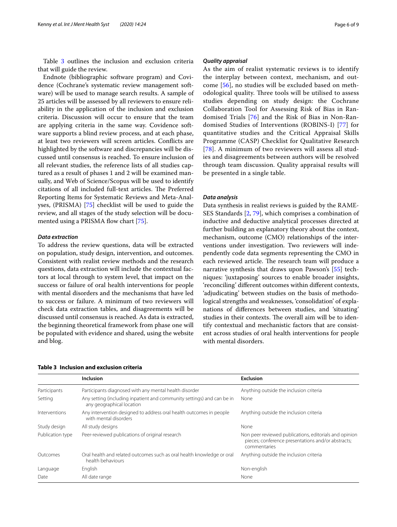Table [3](#page-5-0) outlines the inclusion and exclusion criteria that will guide the review.

Endnote (bibliographic software program) and Covidence (Cochrane's systematic review management software) will be used to manage search results. A sample of 25 articles will be assessed by all reviewers to ensure reliability in the application of the inclusion and exclusion criteria. Discussion will occur to ensure that the team are applying criteria in the same way. Covidence software supports a blind review process, and at each phase, at least two reviewers will screen articles. Conficts are highlighted by the software and discrepancies will be discussed until consensus is reached. To ensure inclusion of all relevant studies, the reference lists of all studies captured as a result of phases 1 and 2 will be examined manually, and Web of Science/Scopus will be used to identify citations of all included full-text articles. The Preferred Reporting Items for Systematic Reviews and Meta-Analyses, (PRISMA) [\[75\]](#page-8-21) checklist will be used to guide the review, and all stages of the study selection will be docu-mented using a PRISMA flow chart [[75](#page-8-21)].

# *Data extraction*

To address the review questions, data will be extracted on population, study design, intervention, and outcomes. Consistent with realist review methods and the research questions, data extraction will include the contextual factors at local through to system level, that impact on the success or failure of oral health interventions for people with mental disorders and the mechanisms that have led to success or failure. A minimum of two reviewers will check data extraction tables, and disagreements will be discussed until consensus is reached. As data is extracted, the beginning theoretical framework from phase one will be populated with evidence and shared, using the website and blog.

## *Quality appraisal*

As the aim of realist systematic reviews is to identify the interplay between context, mechanism, and outcome [[56](#page-8-3)], no studies will be excluded based on methodological quality. Three tools will be utilised to assess studies depending on study design: the Cochrane Collaboration Tool for Assessing Risk of Bias in Randomised Trials [[76\]](#page-8-22) and the Risk of Bias in Non-Randomised Studies of Interventions (ROBINS-I) [\[77](#page-8-23)] for quantitative studies and the Critical Appraisal Skills Programme (CASP) Checklist for Qualitative Research [[78](#page-8-24)]. A minimum of two reviewers will assess all studies and disagreements between authors will be resolved through team discussion. Quality appraisal results will be presented in a single table.

## *Data analysis*

Data synthesis in realist reviews is guided by the RAME-SES Standards [[2,](#page-6-3) [79](#page-8-25)], which comprises a combination of inductive and deductive analytical processes directed at further building an explanatory theory about the context, mechanism, outcome (CMO) relationships of the interventions under investigation. Two reviewers will independently code data segments representing the CMO in each reviewed article. The research team will produce a narrative synthesis that draws upon Pawson's [[55\]](#page-8-2) techniques: 'juxtaposing' sources to enable broader insights, 'reconciling' diferent outcomes within diferent contexts, 'adjudicating' between studies on the basis of methodological strengths and weaknesses, 'consolidation' of explanations of diferences between studies, and 'situating' studies in their contexts. The overall aim will be to identify contextual and mechanistic factors that are consistent across studies of oral health interventions for people with mental disorders.

|                  | Inclusion                                                                                           | <b>Exclusion</b>                                                                                                             |
|------------------|-----------------------------------------------------------------------------------------------------|------------------------------------------------------------------------------------------------------------------------------|
| Participants     | Participants diagnosed with any mental health disorder                                              | Anything outside the inclusion criteria                                                                                      |
| Setting          | Any setting (including inpatient and community settings) and can be in<br>any geographical location | None                                                                                                                         |
| Interventions    | Any intervention designed to address oral health outcomes in people<br>with mental disorders        | Anything outside the inclusion criteria                                                                                      |
| Study design     | All study designs                                                                                   | None                                                                                                                         |
| Publication type | Peer-reviewed publications of original research                                                     | Non peer reviewed publications, editorials and opinion<br>pieces; conference presentations and/or abstracts;<br>commentaries |
| Outcomes         | Oral health and related outcomes such as oral health knowledge or oral<br>health behaviours         | Anything outside the inclusion criteria                                                                                      |
| Language         | English                                                                                             | Non-english                                                                                                                  |
| Date             | All date range                                                                                      | None                                                                                                                         |

# <span id="page-5-0"></span>**Table 3 Inclusion and exclusion criteria**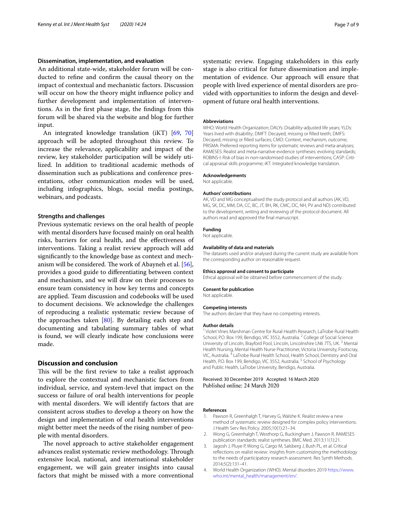# **Dissemination, implementation, and evaluation**

An additional state-wide, stakeholder forum will be conducted to refne and confrm the causal theory on the impact of contextual and mechanistic factors. Discussion will occur on how the theory might infuence policy and further development and implementation of interventions. As in the frst phase stage, the fndings from this forum will be shared via the website and blog for further input.

An integrated knowledge translation (iKT) [[69,](#page-8-15) [70](#page-8-16)] approach will be adopted throughout this review. To increase the relevance, applicability and impact of the review, key stakeholder participation will be widely utilized. In addition to traditional academic methods of dissemination such as publications and conference presentations, other communication modes will be used, including infographics, blogs, social media postings, webinars, and podcasts.

## **Strengths and challenges**

Previous systematic reviews on the oral health of people with mental disorders have focused mainly on oral health risks, barriers for oral health, and the efectiveness of interventions. Taking a realist review approach will add signifcantly to the knowledge base as context and mech-anism will be considered. The work of Abayneh et al. [\[56](#page-8-3)], provides a good guide to diferentiating between context and mechanism, and we will draw on their processes to ensure team consistency in how key terms and concepts are applied. Team discussion and codebooks will be used to document decisions. We acknowledge the challenges of reproducing a realistic systematic review because of the approaches taken  $[80]$  $[80]$  $[80]$ . By detailing each step and documenting and tabulating summary tables of what is found, we will clearly indicate how conclusions were made.

# **Discussion and conclusion**

This will be the first review to take a realist approach to explore the contextual and mechanistic factors from individual, service, and system-level that impact on the success or failure of oral health interventions for people with mental disorders. We will identify factors that are consistent across studies to develop a theory on how the design and implementation of oral health interventions might better meet the needs of the rising number of people with mental disorders.

The novel approach to active stakeholder engagement advances realist systematic review methodology. Through extensive local, national, and international stakeholder engagement, we will gain greater insights into causal factors that might be missed with a more conventional systematic review. Engaging stakeholders in this early stage is also critical for future dissemination and implementation of evidence. Our approach will ensure that people with lived experience of mental disorders are provided with opportunities to inform the design and development of future oral health interventions.

#### **Abbreviations**

WHO: World Health Organization; DALYs: Disability-adjusted life years; YLDs: Years lived with disability; DMFT: Decayed, missing or filled teeth; DMFS: Decayed, missing or flled surfaces; CMO: Context, mechanism, outcome; PRISMA: Preferred reporting items for systematic reviews and meta-analyses; RAMESES: Realist and meta-narrative evidence syntheses: evolving standards; ROBINS-I: Risk of bias in non-randomised studies of interventions; CASP: Critical appraisal skills programme; iKT: Integrated knowledge translation.

#### **Acknowledgements**

Not applicable.

#### **Authors' contributions**

AK, VD and MG conceptualised the study protocol and all authors (AK, VD, MG, SK, DC, MM, DA, CC, BC, JT, BH, RK, CMC, DC, NH, PV and ND) contributed to the development, writing and reviewing of the protocol document. All authors read and approved the fnal manuscript.

#### **Funding**

Not applicable.

#### **Availability of data and materials**

The datasets used and/or analysed during the current study are available from the corresponding author on reasonable request.

#### **Ethics approval and consent to participate**

Ethical approval will be obtained before commencement of the study.

#### **Consent for publication**

Not applicable.

#### **Competing interests**

The authors declare that they have no competing interests.

#### **Author details**

<sup>1</sup> Violet Vines Marshman Centre for Rural Health Research, LaTrobe Rural Health School, P.O. Box 199, Bendigo, VIC 3552, Australia.<sup>2</sup> College of Social Science University of Lincoln, Brayford Pool, Lincoln, Lincolnshire LN6 7TS, UK. 3 Mental Health Nursing, Mental Health Nurse Practitioner, Victoria University, Footscray, VIC, Australia. 4 LaTrobe Rural Health School, Health School, Dentistry and Oral Health, P.O. Box 199, Bendigo, VIC 3552, Australia.<sup>5</sup> School of Psychology and Public Health, LaTrobe University, Bendigo, Australia.

## Received: 30 December 2019 Accepted: 16 March 2020 Published online: 24 March 2020

#### **References**

- <span id="page-6-0"></span>1. Pawson R, Greenhalgh T, Harvey G, Walshe K. Realist review-a new method of systematic review designed for complex policy interventions. J Health Serv Res Policy. 2005;10(1):21–34.
- <span id="page-6-3"></span>2. Wong G, Greenhalgh T, Westhorp G, Buckingham J, Pawson R. RAMESES publication standards: realist syntheses. BMC Med. 2013;11(1):21.
- <span id="page-6-1"></span>3. Jagosh J, Pluye P, Wong G, Cargo M, Salsberg J, Bush PL, et al. Critical refections on realist review: insights from customizing the methodology to the needs of participatory research assessment. Res Synth Methods. 2014;5(2):131–41.
- <span id="page-6-2"></span>4. World Health Organization (WHO). Mental disorders 2019 [https://www.](https://www.who.int/mental_health/management/en/) [who.int/mental\\_health/management/en/](https://www.who.int/mental_health/management/en/).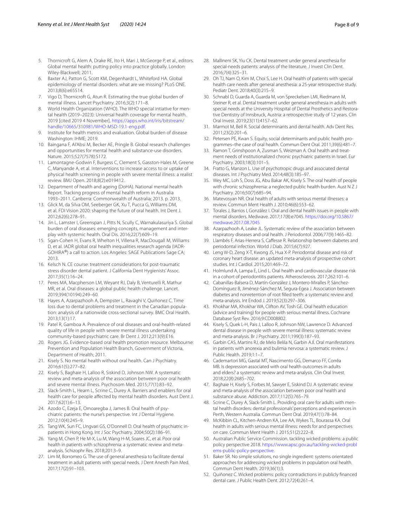- <span id="page-7-0"></span>5. Thornicroft G, Alem A, Drake RE, Ito H, Mari J, McGeorge P, et al., editors. Global mental health: putting policy into practice globally. London: Wiley-Blackwell; 2011.
- <span id="page-7-1"></span>6. Baxter AJ, Patton G, Scott KM, Degenhardt L, Whiteford HA. Global epidemiology of mental disorders: what are we missing? PLoS ONE. 2013;8(6):e65514.
- <span id="page-7-2"></span>7. Vigo D, Thornicroft G, Atun R. Estimating the true global burden of mental illness. Lancet Psychiatry. 2016;3(2):171–8.
- <span id="page-7-3"></span>World Health Organization (WHO). The WHO special intiative for mental health (2019–2023): Universal health coverage for mental health. 2019 [cited 2019 4 November]. [https://apps.who.int/iris/bitstream/](https://apps.who.int/iris/bitstream/handle/10665/310981/WHO-MSD-19.1-eng.pdf) [handle/10665/310981/WHO-MSD-19.1-eng.pdf](https://apps.who.int/iris/bitstream/handle/10665/310981/WHO-MSD-19.1-eng.pdf).
- <span id="page-7-4"></span>9. Institute for health metrics and evaluation. Global burden of disease Washington: IHME; 2019.
- <span id="page-7-5"></span>10. Baingana F, Al'Absi M, Becker AE, Pringle B. Global research challenges and opportunities for mental health and substance-use disorders. Nature. 2015;527(7578):S172.
- <span id="page-7-6"></span>11. Lamontagne-Godwin F, Burgess C, Clement S, Gasston-Hales M, Greene C, Manyande A, et al. Interventions to increase access to or uptake of physical health screening in people with severe mental illness: a realist review. BMJ Open. 2018;8(2):e019412.
- <span id="page-7-7"></span>12. Department of health and ageing (DoHA). National mental health Report. Tracking progress of mental health reform in Australia 1993–2011. Canberra: Commonwealth of Australia; 2013. p. 2013.
- <span id="page-7-8"></span>13. Glick M, da Silva OM, Seeberger GK, Xu T, Pucca G, Williams DM, et al. FDI Vision 2020: shaping the future of oral health. Int Dent J. 2012;62(6):278–91.
- 14. Jin L, Lamster I, Greenspan J, Pitts N, Scully C, Warnakulasuriya S. Global burden of oral diseases: emerging concepts, management and interplay with systemic health. Oral Dis. 2016;22(7):609–19.
- <span id="page-7-9"></span>15. Sgan-Cohen H, Evans R, Whelton H, Villena R, MacDougall M, Williams D, et al. IADR global oral health inequalities research agenda (IADR-GOHIRA®) a call to action. Los Angeles: SAGE Publications Sage CA; 2013.
- <span id="page-7-10"></span>16. Kelsch N. CE course: treatment considerations for post-traumatic stress disorder dental patient. J California Dent Hygienists' Assoc. 2017;35(1):16–24.
- <span id="page-7-11"></span>17. Peres MA, Macpherson LM, Weyant RJ, Daly B, Venturelli R, Mathur MR, et al. Oral diseases: a global public health challenge. Lancet. 2019;394(10194):249–60.
- <span id="page-7-12"></span>18. Hayes A, Azarpazhooh A, Dempster L, Ravaghi V, Quiñonez C. Time loss due to dental problems and treatment in the Canadian population: analysis of a nationwide cross-sectional survey. BMC Oral Health. 2013;13(1):17.
- 19. Patel R, Gamboa A. Prevalence of oral diseases and oral-health-related quality of life in people with severe mental illness undertaking community-based psychiatric care. Br Dent J. 2012;213(9):E16.
- <span id="page-7-13"></span>20. Rogers JG. Evidence-based oral health promotion resource. Melbourne: Prevention and Population Health Branch, Government of Victoria, Department of Health; 2011.
- <span id="page-7-14"></span>21. Kisely S. No mental health without oral health. Can J Psychiatry. 2016;61(5):277–82.
- <span id="page-7-24"></span>22. Kisely S, Baghaie H, Lalloo R, Siskind D, Johnson NW. A systematic review and meta-analysis of the association between poor oral health and severe mental illness. Psychosom Med. 2015;77(1):83–92.
- <span id="page-7-15"></span>23. Slack-Smith L, Hearn L, Scrine C, Durey A. Barriers and enablers for oral health care for people affected by mental health disorders. Aust Dent J. 2017;62(1):6–13.
- <span id="page-7-16"></span>24. Azodo C, Ezeja E, Omoaregba J, James B. Oral health of psychiatric patients: the nurse's perspective. Int J Dental Hygiene. 2012;10(4):245–9.
- 25. Tang WK, Sun FC, Ungvari GS, O'Donnell D. Oral health of psychiatric inpatients in Hong Kong. Int J Soc Psychiatry. 2004;50(2):186–91.
- <span id="page-7-17"></span>26. Yang M, Chen P, He M-X, Lu M, Wang H-M, Soares JC, et al. Poor oral health in patients with schizophrenia: a systematic review and metaanalysis. Schizophr Res. 2018;201:3–9.
- <span id="page-7-18"></span>27. Lim M, Borromeo G. The use of general anesthesia to facilitate dental treatment in adult patients with special needs. J Dent Anesth Pain Med. 2017;17(2):91–103.
- <span id="page-7-22"></span>28. Mallineni SK, Yiu CK. Dental treatment under general anesthesia for special-needs patients: analysis of the literature. J Invest Clin Dent. 2016;7(4):325–31.
- <span id="page-7-23"></span>29. Oh TJ, Nam O, Kim M, Choi S, Lee H. Oral health of patients with special health care needs after general anesthesia: a 25-year retrospective study. Pediatr Dent. 2018;40(3):215–9.
- <span id="page-7-19"></span>30. Schnabl D, Guarda A, Guarda M, von Spreckelsen LMI, Riedmann M, Steiner R, et al. Dental treatment under general anesthesia in adults with special needs at the University Hospital of Dental Prosthetics and Restorative Dentistry of Innsbruck, Austria: a retrospective study of 12 years. Clin Oral Invest. 2019;23(11):4157–62.
- <span id="page-7-20"></span>31. Marmot M, Bell R. Social determinants and dental health. Adv Dent Res. 2011;23(2):201–6.
- <span id="page-7-21"></span>32. Petersen PE, Kwan S. Equity, social determinants and public health programmes–the case of oral health. Commun Dent Oral. 2011;39(6):481–7.
- <span id="page-7-25"></span>33. Ramon T, Grinshpoon A, Zusman S, Weizman A. Oral health and treatment needs of institutionalized chronic psychiatric patients in Israel. Eur Psychiatry. 2003;18(3):101–5.
- 34. Fratto G, Manzon L. Use of psychotropic drugs and associated dental diseases. Int J Psychiatry Med. 2014;48(3):185–97.
- <span id="page-7-26"></span>35. Wey MC, Loh S, Doss JG, Abu Bakar AK, Kisely S. The oral health of people with chronic schizophrenia: a neglected public health burden. Aust N Z J Psychiatry. 2016;50(7):685–94.
- <span id="page-7-27"></span>36. Matevosyan NR. Oral health of adults with serious mental illnesses: a review. Commun Ment Health J. 2010;46(6):553–62.
- <span id="page-7-28"></span>37. Torales J, Barrios I, González I. Oral and dental health issues in people with mental disorders. Medwave. 2017;17(8):e7045. [https://doi.org/10.5867/](https://doi.org/10.5867/medwave.2017.08.7045) [medwave.2017.08.7045](https://doi.org/10.5867/medwave.2017.08.7045)
- <span id="page-7-29"></span>38. Azarpazhooh A, Leake JL. Systematic review of the association between respiratory diseases and oral health. J Periodontol. 2006;77(9):1465–82.
- 39. Llambés F, Arias-Herrera S, Cafesse R. Relationship between diabetes and periodontal infection. World J Diab. 2015;6(7):927.
- <span id="page-7-31"></span>40. Leng W-D, Zeng X-T, Kwong JS, Hua X-P. Periodontal disease and risk of coronary heart disease: an updated meta-analysis of prospective cohort studies. Int J Cardiol. 2015;201:469–72.
- 41. Holmlund A, Lampa E, Lind L. Oral health and cardiovascular disease risk in a cohort of periodontitis patients. Atherosclerosis. 2017;262:101–6.
- <span id="page-7-30"></span>42. Cabanillas-Balsera D, Martín-González J, Montero-Miralles P, Sánchez-Domínguez B, Jiménez-Sánchez M, Segura-Egea J. Association between diabetes and nonretention of root flled teeth: a systematic review and meta-analysis. Int Endod J. 2019;52(3):297–306.
- <span id="page-7-32"></span>43. Khokhar MA, Khokhar WA, Clifton AV, Tosh GE. Oral health education (advice and training) for people with serious mental illness. Cochrane Database Syst Rev. 2016;9:CD008802.
- <span id="page-7-33"></span>44. Kisely S, Quek L-H, Pais J, Lalloo R, Johnson NW, Lawrence D. Advanced dental disease in people with severe mental illness: systematic review and meta-analysis. Br J Psychiatry. 2011;199(3):187–93.
- <span id="page-7-34"></span>45. Garbin CAS, Martins RJ, de Melo Belila N, Garbin AJÍ. Oral manifestations in patients with anorexia and bulimia nervosa: a systematic review. J Public Health. 2019;1:1–7.
- <span id="page-7-35"></span>46. Cademartori MG, Gastal MT, Nascimento GG, Demarco FF, Corrêa MB. Is depression associated with oral health outcomes in adults and elders? a systematic review and meta-analysis. Clin Oral Invest. 2018;22(8):2685–702.
- <span id="page-7-36"></span>47. Baghaie H, Kisely S, Forbes M, Sawyer E, Siskind DJ. A systematic review and meta-analysis of the association between poor oral health and substance abuse. Addiction. 2017;112(5):765–79.
- <span id="page-7-37"></span>48. Scrine C, Durey A, Slack-Smith L. Providing oral care for adults with mental health disorders: dental professionals' perceptions and experiences in Perth, Western Australia. Commun Dent Oral. 2019;47(1):78–84.
- <span id="page-7-38"></span>49. McKibbin CL, Kitchen-Andren KA, Lee AA, Wykes TL, Bourassa KA. Oral health in adults with serious mental illness: needs for and perspectives on care. Commun Ment Health J. 2015;51(2):222–8.
- <span id="page-7-39"></span>50. Australian Public Service Commission. tackling wicked problems: a public policy perspective 2018. [https://www.apsc.gov.au/tackling-wicked-probl](https://www.apsc.gov.au/tackling-wicked-problems-public-policy-perspective) [ems-public-policy-perspective.](https://www.apsc.gov.au/tackling-wicked-problems-public-policy-perspective)
- <span id="page-7-41"></span>51. Baker SR. No simple solutions, no single ingredient: systems orientated approaches for addressing wicked problems in population oral health. Commun Dent Health. 2019;36(1):3.
- <span id="page-7-40"></span>52. Quiñonez C. Wicked problems: policy contradictions in publicly fnanced dental care. J Public Health Dent. 2012;72(4):261–4.